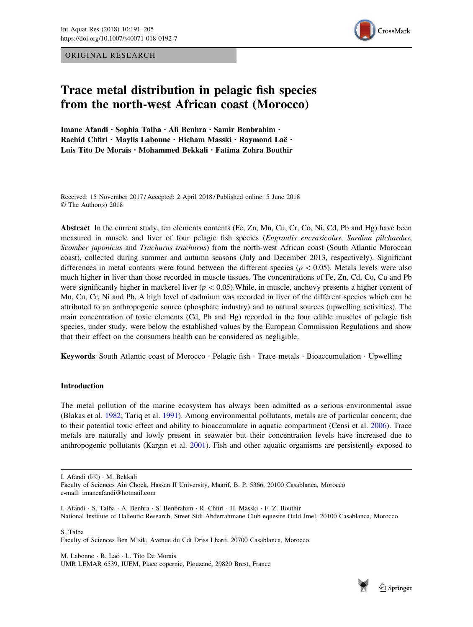ORIGINAL RESEARCH



# Trace metal distribution in pelagic fish species from the north-west African coast (Morocco)

Imane Afandi . Sophia Talba . Ali Benhra . Samir Benbrahim . Rachid Chfiri · Maylis Labonne · Hicham Masski · Raymond Laë · Luis Tito De Morais · Mohammed Bekkali · Fatima Zohra Bouthir

Received: 15 November 2017 / Accepted: 2 April 2018 / Published online: 5 June 2018 © The Author(s) 2018

Abstract In the current study, ten elements contents (Fe, Zn, Mn, Cu, Cr, Co, Ni, Cd, Pb and Hg) have been measured in muscle and liver of four pelagic fish species (Engraulis encrasicolus, Sardina pilchardus, Scomber japonicus and Trachurus trachurus) from the north-west African coast (South Atlantic Moroccan coast), collected during summer and autumn seasons (July and December 2013, respectively). Significant differences in metal contents were found between the different species ( $p < 0.05$ ). Metals levels were also much higher in liver than those recorded in muscle tissues. The concentrations of Fe, Zn, Cd, Co, Cu and Pb were significantly higher in mackerel liver ( $p < 0.05$ ). While, in muscle, anchovy presents a higher content of Mn, Cu, Cr, Ni and Pb. A high level of cadmium was recorded in liver of the different species which can be attributed to an anthropogenic source (phosphate industry) and to natural sources (upwelling activities). The main concentration of toxic elements (Cd, Pb and Hg) recorded in the four edible muscles of pelagic fish species, under study, were below the established values by the European Commission Regulations and show that their effect on the consumers health can be considered as negligible.

Keywords South Atlantic coast of Morocco · Pelagic fish · Trace metals · Bioaccumulation · Upwelling

## Introduction

The metal pollution of the marine ecosystem has always been admitted as a serious environmental issue (Blakas et al. [1982](#page-12-0); Tariq et al. [1991\)](#page-14-0). Among environmental pollutants, metals are of particular concern; due to their potential toxic effect and ability to bioaccumulate in aquatic compartment (Censi et al. [2006\)](#page-12-0). Trace metals are naturally and lowly present in seawater but their concentration levels have increased due to anthropogenic pollutants (Kargın et al. [2001](#page-13-0)). Fish and other aquatic organisms are persistently exposed to

I. Afandi (&) - M. Bekkali

I. Afandi · S. Talba · A. Benhra · S. Benbrahim · R. Chfiri · H. Masski · F. Z. Bouthir National Institute of Halieutic Research, Street Sidi Abderrahmane Club equestre Ould Jmel, 20100 Casablanca, Morocco

S. Talba Faculty of Sciences Ben M'sik, Avenue du Cdt Driss Lharti, 20700 Casablanca, Morocco

M. Labonne · R. Laë · L. Tito De Morais UMR LEMAR 6539, IUEM, Place copernic, Plouzané, 29820 Brest, France



Faculty of Sciences Ain Chock, Hassan II University, Maarif, B. P. 5366, 20100 Casablanca, Morocco e-mail: imaneafandi@hotmail.com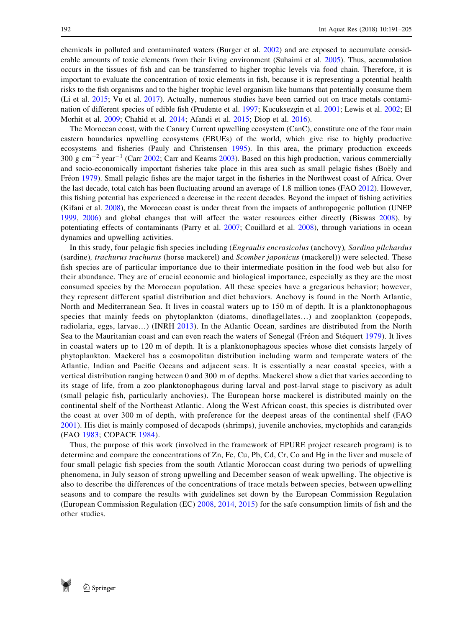chemicals in polluted and contaminated waters (Burger et al. [2002\)](#page-12-0) and are exposed to accumulate considerable amounts of toxic elements from their living environment (Suhaimi et al. [2005\)](#page-14-0). Thus, accumulation occurs in the tissues of fish and can be transferred to higher trophic levels via food chain. Therefore, it is important to evaluate the concentration of toxic elements in fish, because it is representing a potential health risks to the fish organisms and to the higher trophic level organism like humans that potentially consume them (Li et al. [2015](#page-13-0); Vu et al. [2017\)](#page-14-0). Actually, numerous studies have been carried out on trace metals contamination of different species of edible fish (Prudente et al. [1997](#page-14-0); Kucuksezgin et al. [2001](#page-13-0); Lewis et al. [2002](#page-13-0); El Morhit et al. [2009](#page-13-0); Chahid et al. [2014](#page-13-0); Afandi et al. [2015](#page-12-0); Diop et al. [2016](#page-13-0)).

The Moroccan coast, with the Canary Current upwelling ecosystem (CanC), constitute one of the four main eastern boundaries upwelling ecosystems (EBUEs) of the world, which give rise to highly productive ecosystems and fisheries (Pauly and Christensen [1995\)](#page-14-0). In this area, the primary production exceeds  $300 \text{ g cm}^{-2}$  year<sup>-1</sup> (Carr [2002](#page-12-0); Carr and Kearns [2003\)](#page-12-0). Based on this high production, various commercially and socio-economically important fisheries take place in this area such as small pelagic fishes (Boëly and Fréon [1979\)](#page-12-0). Small pelagic fishes are the major target in the fisheries in the Northwest coast of Africa. Over the last decade, total catch has been fluctuating around an average of 1.8 million tones (FAO [2012](#page-13-0)). However, this fishing potential has experienced a decrease in the recent decades. Beyond the impact of fishing activities (Kifani et al. [2008\)](#page-13-0), the Moroccan coast is under threat from the impacts of anthropogenic pollution (UNEP [1999](#page-14-0), [2006](#page-14-0)) and global changes that will affect the water resources either directly (Biswas [2008\)](#page-12-0), by potentiating effects of contaminants (Parry et al. [2007](#page-14-0); Couillard et al. [2008](#page-13-0)), through variations in ocean dynamics and upwelling activities.

In this study, four pelagic fish species including (Engraulis encrasicolus (anchovy), Sardina pilchardus (sardine), trachurus trachurus (horse mackerel) and Scomber japonicus (mackerel)) were selected. These fish species are of particular importance due to their intermediate position in the food web but also for their abundance. They are of crucial economic and biological importance, especially as they are the most consumed species by the Moroccan population. All these species have a gregarious behavior; however, they represent different spatial distribution and diet behaviors. Anchovy is found in the North Atlantic, North and Mediterranean Sea. It lives in coastal waters up to 150 m of depth. It is a planktonophagous species that mainly feeds on phytoplankton (diatoms, dinoflagellates...) and zooplankton (copepods, radiolaria, eggs, larvae…) (INRH [2013](#page-13-0)). In the Atlantic Ocean, sardines are distributed from the North Sea to the Mauritanian coast and can even reach the waters of Senegal (Fréon and Stéquert [1979\)](#page-13-0). It lives in coastal waters up to 120 m of depth. It is a planktonophagous species whose diet consists largely of phytoplankton. Mackerel has a cosmopolitan distribution including warm and temperate waters of the Atlantic, Indian and Pacific Oceans and adjacent seas. It is essentially a near coastal species, with a vertical distribution ranging between 0 and 300 m of depths. Mackerel show a diet that varies according to its stage of life, from a zoo planktonophagous during larval and post-larval stage to piscivory as adult (small pelagic fish, particularly anchovies). The European horse mackerel is distributed mainly on the continental shelf of the Northeast Atlantic. Along the West African coast, this species is distributed over the coast at over 300 m of depth, with preference for the deepest areas of the continental shelf (FAO [2001](#page-13-0)). His diet is mainly composed of decapods (shrimps), juvenile anchovies, myctophids and carangids (FAO [1983;](#page-13-0) COPACE [1984](#page-13-0)).

Thus, the purpose of this work (involved in the framework of EPURE project research program) is to determine and compare the concentrations of Zn, Fe, Cu, Pb, Cd, Cr, Co and Hg in the liver and muscle of four small pelagic fish species from the south Atlantic Moroccan coast during two periods of upwelling phenomena, in July season of strong upwelling and December season of weak upwelling. The objective is also to describe the differences of the concentrations of trace metals between species, between upwelling seasons and to compare the results with guidelines set down by the European Commission Regulation (European Commission Regulation (EC) [2008,](#page-13-0) [2014](#page-13-0), [2015](#page-13-0)) for the safe consumption limits of fish and the other studies.

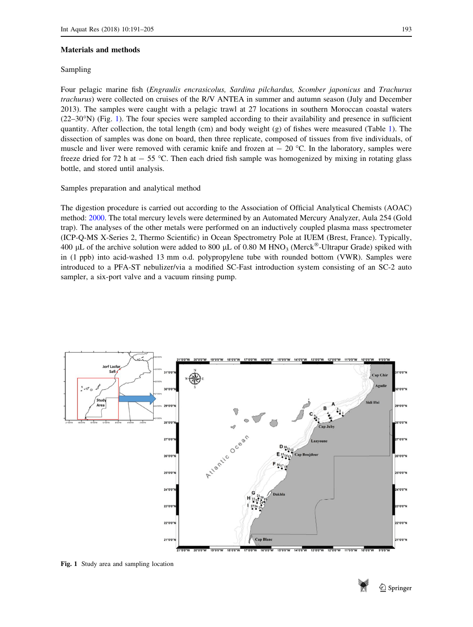#### <span id="page-2-0"></span>Materials and methods

#### Sampling

Four pelagic marine fish (Engraulis encrasicolus, Sardina pilchardus, Scomber japonicus and Trachurus trachurus) were collected on cruises of the R/V ANTEA in summer and autumn season (July and December 2013). The samples were caught with a pelagic trawl at 27 locations in southern Moroccan coastal waters  $(22-30<sup>o</sup>N)$  (Fig. 1). The four species were sampled according to their availability and presence in sufficient quantity. After collection, the total length (cm) and body weight (g) of fishes were measured (Table [1](#page-3-0)). The dissection of samples was done on board, then three replicate, composed of tissues from five individuals, of muscle and liver were removed with ceramic knife and frozen at  $- 20$  °C. In the laboratory, samples were freeze dried for 72 h at  $-55$  °C. Then each dried fish sample was homogenized by mixing in rotating glass bottle, and stored until analysis.

# Samples preparation and analytical method

The digestion procedure is carried out according to the Association of Official Analytical Chemists (AOAC) method: [2000.](#page-12-0) The total mercury levels were determined by an Automated Mercury Analyzer, Aula 254 (Gold trap). The analyses of the other metals were performed on an inductively coupled plasma mass spectrometer (ICP-Q-MS X-Series 2, Thermo Scientific) in Ocean Spectrometry Pole at IUEM (Brest, France). Typically, 400 µL of the archive solution were added to 800 µL of 0.80 M HNO<sub>3</sub> (Merck<sup>®</sup>-Ultrapur Grade) spiked with in (1 ppb) into acid-washed 13 mm o.d. polypropylene tube with rounded bottom (VWR). Samples were introduced to a PFA-ST nebulizer/via a modified SC-Fast introduction system consisting of an SC-2 auto sampler, a six-port valve and a vacuum rinsing pump.



Fig. 1 Study area and sampling location

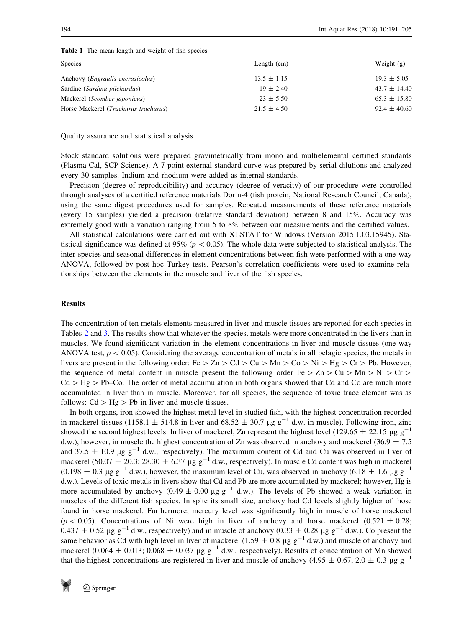| Species                                       | Length $(cm)$   | Weight $(g)$     |
|-----------------------------------------------|-----------------|------------------|
| Anchovy ( <i>Engraulis encrasicolus</i> )     | $13.5 \pm 1.15$ | $19.3 \pm 5.05$  |
| Sardine (Sardina pilchardus)                  | $19 \pm 2.40$   | $43.7 \pm 14.40$ |
| Mackerel (Scomber japonicus)                  | $23 \pm 5.50$   | $65.3 \pm 15.80$ |
| Horse Mackerel ( <i>Trachurus trachurus</i> ) | $21.5 \pm 4.50$ | $92.4 \pm 40.60$ |

<span id="page-3-0"></span>Table 1 The mean length and weight of fish species

Quality assurance and statistical analysis

Stock standard solutions were prepared gravimetrically from mono and multielemental certified standards (Plasma Cal, SCP Science). A 7-point external standard curve was prepared by serial dilutions and analyzed every 30 samples. Indium and rhodium were added as internal standards.

Precision (degree of reproducibility) and accuracy (degree of veracity) of our procedure were controlled through analyses of a certified reference materials Dorm-4 (fish protein, National Research Council, Canada), using the same digest procedures used for samples. Repeated measurements of these reference materials (every 15 samples) yielded a precision (relative standard deviation) between 8 and 15%. Accuracy was extremely good with a variation ranging from 5 to 8% between our measurements and the certified values.

All statistical calculations were carried out with XLSTAT for Windows (Version 2015.1.03.15945). Statistical significance was defined at  $95\%$  ( $p < 0.05$ ). The whole data were subjected to statistical analysis. The inter-species and seasonal differences in element concentrations between fish were performed with a one-way ANOVA, followed by post hoc Turkey tests. Pearson's correlation coefficients were used to examine relationships between the elements in the muscle and liver of the fish species.

# Results

The concentration of ten metals elements measured in liver and muscle tissues are reported for each species in Tables [2](#page-4-0) and [3.](#page-5-0) The results show that whatever the species, metals were more concentrated in the livers than in muscles. We found significant variation in the element concentrations in liver and muscle tissues (one-way ANOVA test,  $p < 0.05$ ). Considering the average concentration of metals in all pelagic species, the metals in livers are present in the following order: Fe  $\geq Zn > Cd > Cu > Mn > Co > Ni > Hg > Cr > Pb$ . However, the sequence of metal content in muscle present the following order Fe  $> Zn > Cu > Mn > Ni > Cr >$  $Cd > Hg > Pb$ –Co. The order of metal accumulation in both organs showed that Cd and Co are much more accumulated in liver than in muscle. Moreover, for all species, the sequence of toxic trace element was as follows:  $Cd > Hg > Pb$  in liver and muscle tissues.

In both organs, iron showed the highest metal level in studied fish, with the highest concentration recorded in mackerel tissues (1158.1  $\pm$  514.8 in liver and 68.52  $\pm$  30.7 µg g<sup>-1</sup> d.w. in muscle). Following iron, zinc showed the second highest levels. In liver of mackerel, Zn represent the highest level (129.65  $\pm$  22.15 µg g<sup>-1</sup> d.w.), however, in muscle the highest concentration of Zn was observed in anchovy and mackerel (36.9  $\pm$  7.5 and 37.5  $\pm$  10.9 µg g<sup>-1</sup> d.w., respectively). The maximum content of Cd and Cu was observed in liver of mackerel (50.07  $\pm$  20.3; 28.30  $\pm$  6.37 µg g<sup>-1</sup> d.w., respectively). In muscle Cd content was high in mackerel  $(0.198 \pm 0.3 \text{ µg g}^{-1} \text{ d.w.})$ , however, the maximum level of Cu, was observed in anchovy  $(6.18 \pm 1.6 \text{ µg g}^{-1} \text{ d.w.})$ d.w.). Levels of toxic metals in livers show that Cd and Pb are more accumulated by mackerel; however, Hg is more accumulated by anchovy (0.49  $\pm$  0.00 µg g<sup>-1</sup> d.w.). The levels of Pb showed a weak variation in muscles of the different fish species. In spite its small size, anchovy had Cd levels slightly higher of those found in horse mackerel. Furthermore, mercury level was significantly high in muscle of horse mackerel ( $p < 0.05$ ). Concentrations of Ni were high in liver of anchovy and horse mackerel (0.521  $\pm$  0.28;  $0.437 \pm 0.52$  µg g<sup>-1</sup> d.w., respectively) and in muscle of anchovy  $(0.33 \pm 0.28$  µg g<sup>-1</sup> d.w.). Co present the same behavior as Cd with high level in liver of mackerel (1.59  $\pm$  0.8 µg g<sup>-1</sup> d.w.) and muscle of anchovy and mackerel (0.064  $\pm$  0.013; 0.068  $\pm$  0.037 µg g<sup>-1</sup> d.w., respectively). Results of concentration of Mn showed that the highest concentrations are registered in liver and muscle of anchovy (4.95  $\pm$  0.67, 2.0  $\pm$  0.3 µg g<sup>-1</sup>

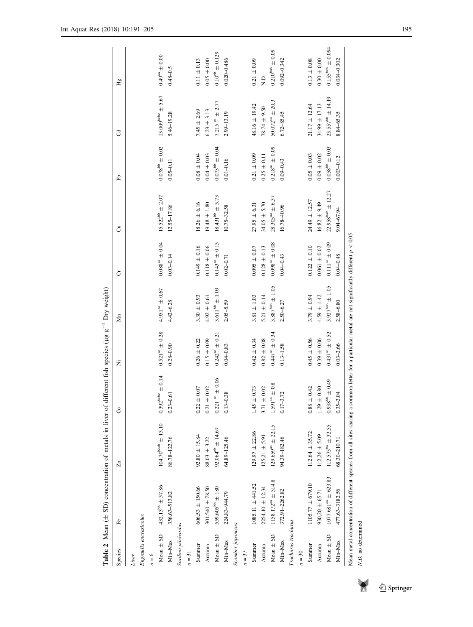<span id="page-4-0"></span>

| $0.078^{\rm bb} \pm 0.02$<br>$0.073^{\text{bb}}\pm0.04$<br>$0.218^{a} = 0.09$<br>$0.058^{\rm bb} \pm 0.03$<br>$0.05\,\pm\,0.03$<br>$0.09\,\pm\,0.02$<br>$0.08 + 0.04$<br>$0.04 \pm 0.03$<br>$0.21 \pm 0.09$<br>$0.25 \pm 0.11$<br>$0.01 - 0.16$<br>$0.09 - 0.43$<br>$0.05 - 0.11$<br>$22.958^{\text{bab}} \pm 12.27$<br>$15.522^{\mathrm{bb}}\pm2.07$<br>$18.431^{bb} \pm 5.73$<br>$28.305^{4a} \pm 6.37$<br>$24.49 \pm 12.57$<br>$16.82 + 9.49$<br>$18.26 \pm 6.16$<br>$19.48 \pm 1.80$<br>$34.05 + 5.70$<br>$27.95 \pm 6.31$<br>16.78-40.96<br>$12.55 - 17.86$<br>10.75-32.58<br>$0.088^{\mathrm{a}\mathrm{a}}\pm0.04$<br>$0.143^{a} = 0.15$<br>$0.098^{a} = 0.08$<br>$0.111^{aa} \pm 0.09$<br>$0.149\,\pm\,0.16$<br>$0.118\,\pm\,0.06$<br>$0.122 \pm 0.10$<br>$0.061\,\pm\,0.02$<br>$0.095 \pm 0.07$<br>$0.128 \pm 0.13$<br>$0.04 - 0.43$<br>$0.03 - 0.14$<br>$0.02 - 0.71$<br>$3.887^{\rm{bab}} \pm 1.05$<br>$3.927^{\text{bab}} \pm 1.05$<br>$3.611^{\rm bb} \pm 1.09$<br>$4.951^{\rm{aa}}\pm0.67$<br>$4.59 \pm 1.42$<br>$3.30 \pm 0.93$<br>$3.81 \pm 1.03$<br>$5.21 \pm 0.14$<br>$3.79 \pm 0.94$<br>$4.92 \pm 0.61$<br>$2.05 - 5.59$<br>2.50-6.27<br>4.42-6.28<br>$0.521^{42} \pm 0.28$<br>$0.447^{aa} \pm 0.34$<br>$0.437an \pm 0.52$<br>$0.242^{33} \pm 0.21$<br>$0.45 \pm 0.56$<br>$0.39 \pm 0.06$<br>$0.26 \pm 0.22$<br>$0.15 \pm 0.09$<br>$0.82\,\pm\,0.08$<br>$0.42 \pm 0.34$<br>$0.13 - 1.58$<br>$0.04 - 0.83$<br>$0.28 - 0.90$<br>$0.392^{\rm hobe} \pm 0.14$<br>$0.221$ $^{\rm{ce}}$ $\pm$ $0.06$<br>$0.938^{\rm bb} \pm 0.49$<br>$1.59\,1^{\rm{an}}\,\pm\,0.8$<br>$0.88 \pm 0.42$<br>$1.29\,\pm\,0.80$<br>$0.21 \pm 0.02$<br>$0.22 \pm 0.07$<br>$1.45\,\pm\,0.73$<br>$3.71 \pm 0.02$<br>$0.17 - 3.72$<br>$0.13 - 0.38$<br>$0.23 - 0.61$<br>$104.70^{bcab} \pm 15.10$<br>$112.575^{ba} \pm 32.55$<br>$129.659^{48} \pm 22.15$<br>$92.064^{\circ b} \pm 14.67$<br>$112.64 \pm 35.72$<br>$129.97 \pm 22.86$<br>$92.80 \pm 15.84$<br>$12,26 \pm 5.09$<br>$125,21 \pm 5.91$<br>64.89-125.46<br>94.39-182.46<br>86.78-122.76<br>$88.03 \pm 3.22$<br>$1077.681an \pm 623.83$<br>$1158.172^{38} \pm 514.8$<br>$1105.77 \pm 679.10$<br>$1085.11 \pm 441.52$<br>Mean $\pm$ SD 432.15 <sup>bb</sup> $\pm$ 57.86<br>$606.53 \,\pm\, 150.66$<br>$2254,10 \pm 12.34$<br>301.540 $\pm$ 78.50<br>$559.605^{\text{bb}} \pm 180$<br>372.91-2262.82<br>477.63-3182.56<br>$930,20 \pm 65.71$<br>224.83-944.79<br>356.63-513.82<br>Engraulis encrasicolus<br>Trachurus trachurus<br>Sardina pilchardus<br>Scomber japonicus<br>Mean $\pm$ SD<br>Mean $\pm$ SD<br>$Mean \pm SD$<br>Min-Max<br>Min-Max<br>Min-Max<br>Autumn<br>Summer<br>Autumn<br>Summer<br>Autumn<br>Summer<br>$n=31$<br>$n = 30$<br>$= 37$<br>$= 6$<br>Liver | £<br>Species | $\overline{z}$ | å                  | Ż             | Mn        | ö             | ්          | £              | J                            | Ъę                             |
|--------------------------------------------------------------------------------------------------------------------------------------------------------------------------------------------------------------------------------------------------------------------------------------------------------------------------------------------------------------------------------------------------------------------------------------------------------------------------------------------------------------------------------------------------------------------------------------------------------------------------------------------------------------------------------------------------------------------------------------------------------------------------------------------------------------------------------------------------------------------------------------------------------------------------------------------------------------------------------------------------------------------------------------------------------------------------------------------------------------------------------------------------------------------------------------------------------------------------------------------------------------------------------------------------------------------------------------------------------------------------------------------------------------------------------------------------------------------------------------------------------------------------------------------------------------------------------------------------------------------------------------------------------------------------------------------------------------------------------------------------------------------------------------------------------------------------------------------------------------------------------------------------------------------------------------------------------------------------------------------------------------------------------------------------------------------------------------------------------------------------------------------------------------------------------------------------------------------------------------------------------------------------------------------------------------------------------------------------------------------------------------------------------------------------------------------------------------------------------------------------------------------------------------------------------------------------------------------------------------------------------------------------------------------------------------------------------------------------|--------------|----------------|--------------------|---------------|-----------|---------------|------------|----------------|------------------------------|--------------------------------|
|                                                                                                                                                                                                                                                                                                                                                                                                                                                                                                                                                                                                                                                                                                                                                                                                                                                                                                                                                                                                                                                                                                                                                                                                                                                                                                                                                                                                                                                                                                                                                                                                                                                                                                                                                                                                                                                                                                                                                                                                                                                                                                                                                                                                                                                                                                                                                                                                                                                                                                                                                                                                                                                                                                                          |              |                |                    |               |           |               |            |                |                              |                                |
|                                                                                                                                                                                                                                                                                                                                                                                                                                                                                                                                                                                                                                                                                                                                                                                                                                                                                                                                                                                                                                                                                                                                                                                                                                                                                                                                                                                                                                                                                                                                                                                                                                                                                                                                                                                                                                                                                                                                                                                                                                                                                                                                                                                                                                                                                                                                                                                                                                                                                                                                                                                                                                                                                                                          |              |                |                    |               |           |               |            |                |                              |                                |
|                                                                                                                                                                                                                                                                                                                                                                                                                                                                                                                                                                                                                                                                                                                                                                                                                                                                                                                                                                                                                                                                                                                                                                                                                                                                                                                                                                                                                                                                                                                                                                                                                                                                                                                                                                                                                                                                                                                                                                                                                                                                                                                                                                                                                                                                                                                                                                                                                                                                                                                                                                                                                                                                                                                          |              |                |                    |               |           |               |            |                |                              |                                |
|                                                                                                                                                                                                                                                                                                                                                                                                                                                                                                                                                                                                                                                                                                                                                                                                                                                                                                                                                                                                                                                                                                                                                                                                                                                                                                                                                                                                                                                                                                                                                                                                                                                                                                                                                                                                                                                                                                                                                                                                                                                                                                                                                                                                                                                                                                                                                                                                                                                                                                                                                                                                                                                                                                                          |              |                |                    |               |           |               |            |                | $13.009^{\rm bcbc} \pm 5.67$ | $0.49^{\mathrm{aa}}\pm0.00$    |
|                                                                                                                                                                                                                                                                                                                                                                                                                                                                                                                                                                                                                                                                                                                                                                                                                                                                                                                                                                                                                                                                                                                                                                                                                                                                                                                                                                                                                                                                                                                                                                                                                                                                                                                                                                                                                                                                                                                                                                                                                                                                                                                                                                                                                                                                                                                                                                                                                                                                                                                                                                                                                                                                                                                          |              |                |                    |               |           |               |            |                | 5.46-19.28                   | $0.48 - 0.5$                   |
|                                                                                                                                                                                                                                                                                                                                                                                                                                                                                                                                                                                                                                                                                                                                                                                                                                                                                                                                                                                                                                                                                                                                                                                                                                                                                                                                                                                                                                                                                                                                                                                                                                                                                                                                                                                                                                                                                                                                                                                                                                                                                                                                                                                                                                                                                                                                                                                                                                                                                                                                                                                                                                                                                                                          |              |                |                    |               |           |               |            |                |                              |                                |
|                                                                                                                                                                                                                                                                                                                                                                                                                                                                                                                                                                                                                                                                                                                                                                                                                                                                                                                                                                                                                                                                                                                                                                                                                                                                                                                                                                                                                                                                                                                                                                                                                                                                                                                                                                                                                                                                                                                                                                                                                                                                                                                                                                                                                                                                                                                                                                                                                                                                                                                                                                                                                                                                                                                          |              |                |                    |               |           |               |            |                |                              |                                |
|                                                                                                                                                                                                                                                                                                                                                                                                                                                                                                                                                                                                                                                                                                                                                                                                                                                                                                                                                                                                                                                                                                                                                                                                                                                                                                                                                                                                                                                                                                                                                                                                                                                                                                                                                                                                                                                                                                                                                                                                                                                                                                                                                                                                                                                                                                                                                                                                                                                                                                                                                                                                                                                                                                                          |              |                |                    |               |           |               |            |                | $7.45 \pm 2.69$              | $0.11 \pm 0.13$                |
|                                                                                                                                                                                                                                                                                                                                                                                                                                                                                                                                                                                                                                                                                                                                                                                                                                                                                                                                                                                                                                                                                                                                                                                                                                                                                                                                                                                                                                                                                                                                                                                                                                                                                                                                                                                                                                                                                                                                                                                                                                                                                                                                                                                                                                                                                                                                                                                                                                                                                                                                                                                                                                                                                                                          |              |                |                    |               |           |               |            |                | $6.23 \pm 3.13$              | $0.05 \pm 0.00$                |
|                                                                                                                                                                                                                                                                                                                                                                                                                                                                                                                                                                                                                                                                                                                                                                                                                                                                                                                                                                                                                                                                                                                                                                                                                                                                                                                                                                                                                                                                                                                                                                                                                                                                                                                                                                                                                                                                                                                                                                                                                                                                                                                                                                                                                                                                                                                                                                                                                                                                                                                                                                                                                                                                                                                          |              |                |                    |               |           |               |            |                | $7.215 \times 2.77$          | $0.10^{\rm cb} \pm 0.129$      |
|                                                                                                                                                                                                                                                                                                                                                                                                                                                                                                                                                                                                                                                                                                                                                                                                                                                                                                                                                                                                                                                                                                                                                                                                                                                                                                                                                                                                                                                                                                                                                                                                                                                                                                                                                                                                                                                                                                                                                                                                                                                                                                                                                                                                                                                                                                                                                                                                                                                                                                                                                                                                                                                                                                                          |              |                |                    |               |           |               |            |                | 2.99-13.19                   | $0.020 - 0.486$                |
|                                                                                                                                                                                                                                                                                                                                                                                                                                                                                                                                                                                                                                                                                                                                                                                                                                                                                                                                                                                                                                                                                                                                                                                                                                                                                                                                                                                                                                                                                                                                                                                                                                                                                                                                                                                                                                                                                                                                                                                                                                                                                                                                                                                                                                                                                                                                                                                                                                                                                                                                                                                                                                                                                                                          |              |                |                    |               |           |               |            |                |                              |                                |
|                                                                                                                                                                                                                                                                                                                                                                                                                                                                                                                                                                                                                                                                                                                                                                                                                                                                                                                                                                                                                                                                                                                                                                                                                                                                                                                                                                                                                                                                                                                                                                                                                                                                                                                                                                                                                                                                                                                                                                                                                                                                                                                                                                                                                                                                                                                                                                                                                                                                                                                                                                                                                                                                                                                          |              |                |                    |               |           |               |            |                |                              |                                |
|                                                                                                                                                                                                                                                                                                                                                                                                                                                                                                                                                                                                                                                                                                                                                                                                                                                                                                                                                                                                                                                                                                                                                                                                                                                                                                                                                                                                                                                                                                                                                                                                                                                                                                                                                                                                                                                                                                                                                                                                                                                                                                                                                                                                                                                                                                                                                                                                                                                                                                                                                                                                                                                                                                                          |              |                |                    |               |           |               |            |                | $48.16 \pm 19.42$            | $0.21 \pm 0.09$                |
|                                                                                                                                                                                                                                                                                                                                                                                                                                                                                                                                                                                                                                                                                                                                                                                                                                                                                                                                                                                                                                                                                                                                                                                                                                                                                                                                                                                                                                                                                                                                                                                                                                                                                                                                                                                                                                                                                                                                                                                                                                                                                                                                                                                                                                                                                                                                                                                                                                                                                                                                                                                                                                                                                                                          |              |                |                    |               |           |               |            |                | $78.74 \pm 9.50$             | $\rm \dot{E}$                  |
|                                                                                                                                                                                                                                                                                                                                                                                                                                                                                                                                                                                                                                                                                                                                                                                                                                                                                                                                                                                                                                                                                                                                                                                                                                                                                                                                                                                                                                                                                                                                                                                                                                                                                                                                                                                                                                                                                                                                                                                                                                                                                                                                                                                                                                                                                                                                                                                                                                                                                                                                                                                                                                                                                                                          |              |                |                    |               |           |               |            |                | $50.072^{22} \pm 20.3$       | $0.210^{bad} \pm 0.09$         |
|                                                                                                                                                                                                                                                                                                                                                                                                                                                                                                                                                                                                                                                                                                                                                                                                                                                                                                                                                                                                                                                                                                                                                                                                                                                                                                                                                                                                                                                                                                                                                                                                                                                                                                                                                                                                                                                                                                                                                                                                                                                                                                                                                                                                                                                                                                                                                                                                                                                                                                                                                                                                                                                                                                                          |              |                |                    |               |           |               |            |                | $6.72 - 85.45$               | $0.092 - 0.342$                |
|                                                                                                                                                                                                                                                                                                                                                                                                                                                                                                                                                                                                                                                                                                                                                                                                                                                                                                                                                                                                                                                                                                                                                                                                                                                                                                                                                                                                                                                                                                                                                                                                                                                                                                                                                                                                                                                                                                                                                                                                                                                                                                                                                                                                                                                                                                                                                                                                                                                                                                                                                                                                                                                                                                                          |              |                |                    |               |           |               |            |                |                              |                                |
|                                                                                                                                                                                                                                                                                                                                                                                                                                                                                                                                                                                                                                                                                                                                                                                                                                                                                                                                                                                                                                                                                                                                                                                                                                                                                                                                                                                                                                                                                                                                                                                                                                                                                                                                                                                                                                                                                                                                                                                                                                                                                                                                                                                                                                                                                                                                                                                                                                                                                                                                                                                                                                                                                                                          |              |                |                    |               |           |               |            |                |                              |                                |
|                                                                                                                                                                                                                                                                                                                                                                                                                                                                                                                                                                                                                                                                                                                                                                                                                                                                                                                                                                                                                                                                                                                                                                                                                                                                                                                                                                                                                                                                                                                                                                                                                                                                                                                                                                                                                                                                                                                                                                                                                                                                                                                                                                                                                                                                                                                                                                                                                                                                                                                                                                                                                                                                                                                          |              |                |                    |               |           |               |            |                | $21.17 \pm 12.64$            | $0.13\,\pm\,0.08$              |
|                                                                                                                                                                                                                                                                                                                                                                                                                                                                                                                                                                                                                                                                                                                                                                                                                                                                                                                                                                                                                                                                                                                                                                                                                                                                                                                                                                                                                                                                                                                                                                                                                                                                                                                                                                                                                                                                                                                                                                                                                                                                                                                                                                                                                                                                                                                                                                                                                                                                                                                                                                                                                                                                                                                          |              |                |                    |               |           |               |            |                | $34.99 \pm 17.13$            | $0.30\,\pm\,0.00$              |
|                                                                                                                                                                                                                                                                                                                                                                                                                                                                                                                                                                                                                                                                                                                                                                                                                                                                                                                                                                                                                                                                                                                                                                                                                                                                                                                                                                                                                                                                                                                                                                                                                                                                                                                                                                                                                                                                                                                                                                                                                                                                                                                                                                                                                                                                                                                                                                                                                                                                                                                                                                                                                                                                                                                          |              |                |                    |               |           |               |            |                | $23.557^{bb} \pm 14.19$      | $0.155^{\text{bot}} \pm 0.094$ |
|                                                                                                                                                                                                                                                                                                                                                                                                                                                                                                                                                                                                                                                                                                                                                                                                                                                                                                                                                                                                                                                                                                                                                                                                                                                                                                                                                                                                                                                                                                                                                                                                                                                                                                                                                                                                                                                                                                                                                                                                                                                                                                                                                                                                                                                                                                                                                                                                                                                                                                                                                                                                                                                                                                                          | Min-Max      | 58.30-210.71   | 2.04<br>$0.35 - 1$ | $0.03 - 2.66$ | 2.58-6.80 | $0.04 - 0.48$ | 9.04-67.94 | $0.003 - 0.12$ | 8.84-65.35                   | 0.034-0.302                    |

 $\blacktriangleright$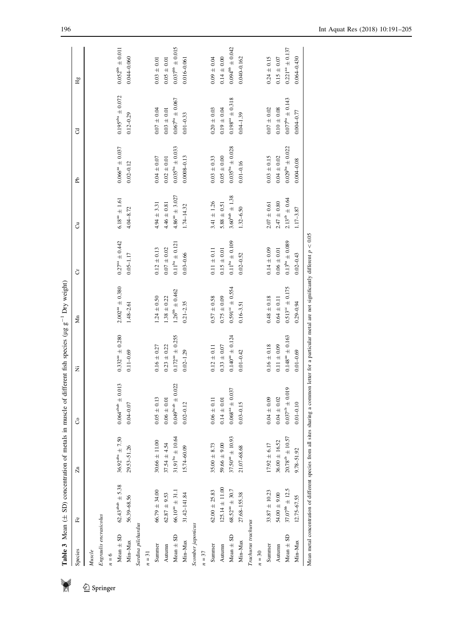|                        | <b>Table 3</b> Mean $(\pm SD)$ concentration of metals in muscle of |                                   |                                                                                                                                                        | different fish species ( $\mu$ g g <sup>-1</sup> Dry weight) |                               |                              |                             |                               |                         |                            |
|------------------------|---------------------------------------------------------------------|-----------------------------------|--------------------------------------------------------------------------------------------------------------------------------------------------------|--------------------------------------------------------------|-------------------------------|------------------------------|-----------------------------|-------------------------------|-------------------------|----------------------------|
| Species                | Fe                                                                  | F                                 | රි                                                                                                                                                     | Ż                                                            | Мn                            | ð                            | ්                           | £                             | ರ                       | Hg                         |
| Muscle                 |                                                                     |                                   |                                                                                                                                                        |                                                              |                               |                              |                             |                               |                         |                            |
| Engraulis encrasicolus |                                                                     |                                   |                                                                                                                                                        |                                                              |                               |                              |                             |                               |                         |                            |
| $n = 6$                |                                                                     |                                   |                                                                                                                                                        |                                                              |                               |                              |                             |                               |                         |                            |
| Mean $\pm$ SD          | $62.43^{\text{abab}} \pm 5.38$                                      | $36.92^{\text{aba}} \pm 7.50$     | $0.064^{\text{abab}} \pm 0.013$                                                                                                                        | $0.332^{\mathrm{a}\mathrm{a}}\,\pm\,0.280$                   | $2.002^{na} \pm 0.380$        | $0.27aa \pm 0.442$           | $6.18^{\mathrm{aa}}\pm1.61$ | $0.066^{48} \pm 0.037$        | $0.195^{aba} \pm 0.072$ | $0.052^{\rm bb} \pm 0.011$ |
| Min-Max                | 56.39-68.56                                                         | 29.53-51.26                       | $0.04 - 0.07$                                                                                                                                          | $0.11 - 0.69$                                                | $1.48 - 2.61$                 | $0.05 - 1.17$                | $4.04 - 8.72$               | $0.02 - 0.12$                 | $0.12 - 0.29$           | $0.044 - 0.060$            |
| Sardina pilchardus     |                                                                     |                                   |                                                                                                                                                        |                                                              |                               |                              |                             |                               |                         |                            |
| $n = 31$               |                                                                     |                                   |                                                                                                                                                        |                                                              |                               |                              |                             |                               |                         |                            |
| Summer                 | $66.79 \pm 34.00$                                                   | $30.66\pm11.00$                   | $0.05\,\pm\,0.13$                                                                                                                                      | $0.16 \pm 0.27$                                              | $1.24 \pm 0.50$               | $0.12 \pm 0.13$              | $4.94 \pm 3.31$             | $0.04\pm0.07$                 | $0.07\pm0.04$           | $0.03\,\pm\,0.01$          |
| Autumn                 | $62.87 + 9.53$                                                      | $37.54 \pm 4.54$                  | $0.06 \pm 0.0$                                                                                                                                         | $0.23 + 0.22$                                                | $1.38 \pm 0.22$               | $0.07\,\pm\,0.02$            | $4.46 \pm 0.81$             | $0.02\,\pm\,0.01$             | $0.03 + 0.01$           | $0.05 \pm 0.01$            |
| Mean $\pm$ SD          | $66.10^{ \mathrm{a} } \pm 31.1$                                     | $31.91^{\rm{ba}} \pm 10.64$       | $0.049^{\rm{beab}} \pm 0.022$                                                                                                                          | $0.172^{a} = 0.255$                                          | $1.26^{bb} \pm 0.462$         | $0.11^{ba} \pm 0.121$        | $4.86^{aa} \pm 3.027$       | $0.035^{\mathrm{bn}}\pm0.033$ | $0.067^{ba} \pm 0.067$  | $0.037^{\rm bb} \pm 0.015$ |
| Min-Max                | 31.42-141.84                                                        | 15.74-60.09                       | $0.02 - 0.12$                                                                                                                                          | $0.02 - 1.29$                                                | $0.21 - 2.35$                 | $0.03 - 0.66$                | $1.74 - 14.32$              | $0.0008 - 0.13$               | $0.01 - 0.33$           | $0.016 - 0.061$            |
| Scomber japonicus      |                                                                     |                                   |                                                                                                                                                        |                                                              |                               |                              |                             |                               |                         |                            |
| $n=37$                 |                                                                     |                                   |                                                                                                                                                        |                                                              |                               |                              |                             |                               |                         |                            |
| Summer                 | $62.00 + 25.83$                                                     | $35.00 + 8.73$                    | $0.06 \pm 0.11$                                                                                                                                        | $0.12 \pm 0.11$                                              | $0.57\,\pm\,0.58$             | $0.11\pm0.11$                | $3.41 \pm 1.26$             | $0.03 + 0.33$                 | $0.20\,\pm\,0.03$       | $0.09 + 0.04$              |
| Autumn                 | $125.14 \pm 11.00$                                                  | $59.66\,\pm\,9.00$                | $0.14\,\pm\,0.0$                                                                                                                                       | $0.33\,\pm\,0.07$                                            | $0.75 \pm 0.09$               | $0.15\pm0.01$                | $5.88\,\pm\,0.51$           | $0.05\,\pm\,0.00$             | $0.19 + 0.04$           | $0.14\pm0.00$              |
| Mean $\pm$ SD          | $68.52^{\mathrm{a}\mathrm{a}}\pm30.7$                               | $37.50^{\mathrm{an}}\,\pm\,10.93$ | $0.068^{34} \pm 0.037$                                                                                                                                 | $0.140^{a} = 0.124$                                          | $0.591^{\circ c} \pm 0.554$   | $0.11^{\mathrm{ba}}\pm0.109$ | $3.60^{\rm{bab}}\pm1.38$    | $0.035^{bn} \pm 0.028$        | $0.198^{an} \pm 0.318$  | $0.094^{\rm bb} \pm 0.042$ |
| Min-Max                | 27.68-155.38                                                        | 21.07-68.68                       | $0.03 - 0.15$                                                                                                                                          | $0.01 - 0.42$                                                | $0.16 - 3.51$                 | $0.02 - 0.52$                | $1.32 - 6.50$               | $0.01 - 0.16$                 | $0.04 - 1.39$           | $0.040 - 0.162$            |
| Trachurus trachurus    |                                                                     |                                   |                                                                                                                                                        |                                                              |                               |                              |                             |                               |                         |                            |
| $n = 30$               |                                                                     |                                   |                                                                                                                                                        |                                                              |                               |                              |                             |                               |                         |                            |
| Summer                 | $33.87 \pm 10.23$                                                   | $17.92 \pm 6.17$                  | $0.04\pm0.09$                                                                                                                                          | $0.16\,\pm\,0.18$                                            | $0.48\,\pm\,0.18$             | $0.14\,\pm\,0.09$            | $2.07\,\pm\,0.61$           | $0.03 \pm 0.15$               | $0.07\,\pm\,0.02$       | $0.24 \pm 0.15$            |
| Autumn                 | $54.00\pm9.00$                                                      | $36.00 \pm 16.52$                 | $0.04\,\pm\,0.02$                                                                                                                                      | $0.11 \pm 0.09$                                              | $0.64\,\pm\,0.11$             | $0.06\,\pm\,0.01$            | $2.47\,\pm\,0.80$           | $0.04\,\pm\,0.02$             | $0.10\,\pm\,0.08$       | $0.15 \pm 0.07$            |
| Mean $\pm$ SD          | $37.07^{bb} \pm 12.5$                                               | $20.78^{\rm cb} \pm 10.57$        | $0.037^{\text{cb}} \pm 0.019$                                                                                                                          | $0.148^{aa} \pm 0.163$                                       | $0.513^{\mathrm{ce}}\pm0.175$ | $0.13^{ba} \pm 0.089$        | $2.13^{\rm cb} \pm 0.64$    | $0.029^{bn} \pm 0.022$        | $0.077^{ba} \pm 0.143$  | $0.221an \pm 0.137$        |
| Min-Max                | $12.75 - 67.55$                                                     | 9.78-51.92                        | $0.01 - 0.10$                                                                                                                                          | $0.01 - 0.69$                                                | $0.29 - 0.94$                 | $0.02 - 0.43$                | $1.17 - 3.87$               | $0.004 - 0.08$                | 0.004-0.77              | 0.064-0.430                |
|                        |                                                                     |                                   | Mean metal concentration of different species from all sites sharing a common letter for a particular metal are not significantly different $p < 0.05$ |                                                              |                               |                              |                             |                               |                         |                            |

<span id="page-5-0"></span>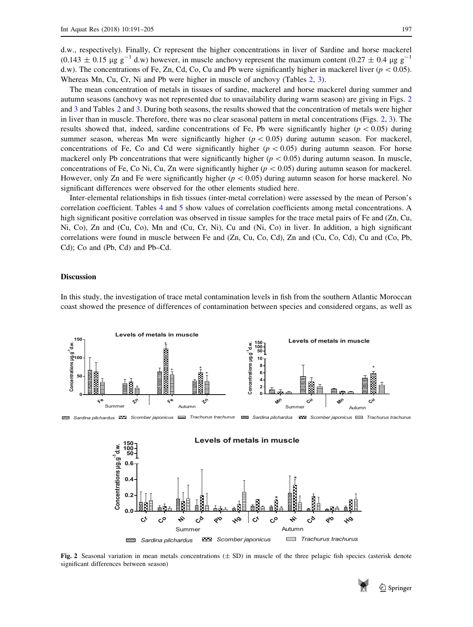d.w., respectively). Finally, Cr represent the higher concentrations in liver of Sardine and horse mackerel  $(0.143 \pm 0.15 \mu g g^{-1}$  d.w) however, in muscle anchovy represent the maximum content  $(0.27 \pm 0.4 \mu g g^{-1}$ d.w). The concentrations of Fe, Zn, Cd, Co, Cu and Pb were significantly higher in mackerel liver ( $p < 0.05$ ). Whereas Mn, Cu, Cr, Ni and Pb were higher in muscle of anchovy (Tables [2](#page-4-0), [3](#page-5-0)).

The mean concentration of metals in tissues of sardine, mackerel and horse mackerel during summer and autumn seasons (anchovy was not represented due to unavailability during warm season) are giving in Figs. 2 and [3](#page-7-0) and Tables [2](#page-4-0) and [3.](#page-5-0) During both seasons, the results showed that the concentration of metals were higher in liver than in muscle. Therefore, there was no clear seasonal pattern in metal concentrations (Figs. 2, [3\)](#page-7-0). The results showed that, indeed, sardine concentrations of Fe, Pb were significantly higher ( $p \lt 0.05$ ) during summer season, whereas Mn were significantly higher  $(p < 0.05)$  during autumn season. For mackerel, concentrations of Fe, Co and Cd were significantly higher ( $p < 0.05$ ) during autumn season. For horse mackerel only Pb concentrations that were significantly higher ( $p < 0.05$ ) during autumn season. In muscle, concentrations of Fe, Co Ni, Cu, Zn were significantly higher ( $p < 0.05$ ) during autumn season for mackerel. However, only Zn and Fe were significantly higher ( $p < 0.05$ ) during autumn season for horse mackerel. No significant differences were observed for the other elements studied here.

Inter-elemental relationships in fish tissues (inter-metal correlation) were assessed by the mean of Person's correlation coefficient. Tables [4](#page-7-0) and [5](#page-8-0) show values of correlation coefficients among metal concentrations. A high significant positive correlation was observed in tissue samples for the trace metal pairs of Fe and (Zn, Cu, Ni, Co), Zn and (Cu, Co), Mn and (Cu, Cr, Ni), Cu and (Ni, Co) in liver. In addition, a high significant correlations were found in muscle between Fe and (Zn, Cu, Co, Cd), Zn and (Cu, Co, Cd), Cu and (Co, Pb, Cd); Co and (Pb, Cd) and Pb–Cd.

## Discussion

In this study, the investigation of trace metal contamination levels in fish from the southern Atlantic Moroccan coast showed the presence of differences of contamination between species and considered organs, as well as



Fig. 2 Seasonal variation in mean metals concentrations  $(\pm S_D)$  in muscle of the three pelagic fish species (asterisk denote significant differences between season)

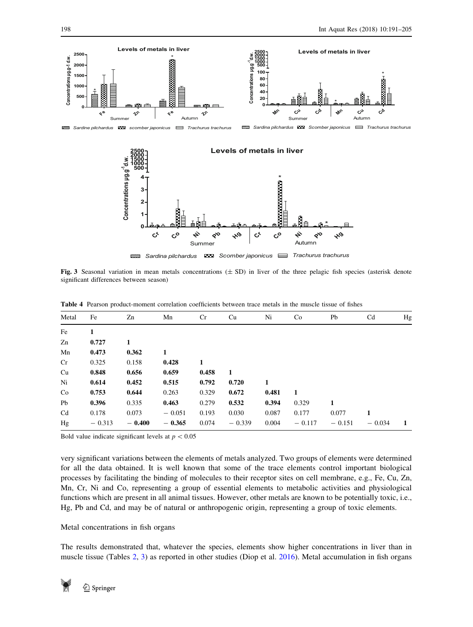<span id="page-7-0"></span>

Fig. 3 Seasonal variation in mean metals concentrations  $(\pm SD)$  in liver of the three pelagic fish species (asterisk denote significant differences between season)

| Metal | Fe       | Zn       | Mn       | Cr    | Cu       | Ni    | Co       | Pb       | Cd       | Hg |
|-------|----------|----------|----------|-------|----------|-------|----------|----------|----------|----|
| Fe    | 1        |          |          |       |          |       |          |          |          |    |
| Zn    | 0.727    | 1        |          |       |          |       |          |          |          |    |
| Mn    | 0.473    | 0.362    | 1        |       |          |       |          |          |          |    |
| Cr    | 0.325    | 0.158    | 0.428    | 1     |          |       |          |          |          |    |
| Cu    | 0.848    | 0.656    | 0.659    | 0.458 | -1       |       |          |          |          |    |
| Ni    | 0.614    | 0.452    | 0.515    | 0.792 | 0.720    | 1     |          |          |          |    |
| Co    | 0.753    | 0.644    | 0.263    | 0.329 | 0.672    | 0.481 | -1       |          |          |    |
| Pb    | 0.396    | 0.335    | 0.463    | 0.279 | 0.532    | 0.394 | 0.329    | 1        |          |    |
| Cd    | 0.178    | 0.073    | $-0.051$ | 0.193 | 0.030    | 0.087 | 0.177    | 0.077    |          |    |
| Hg    | $-0.313$ | $-0.400$ | $-0.365$ | 0.074 | $-0.339$ | 0.004 | $-0.117$ | $-0.151$ | $-0.034$ | -1 |

Table 4 Pearson product-moment correlation coefficients between trace metals in the muscle tissue of fishes

Bold value indicate significant levels at  $p < 0.05$ 

very significant variations between the elements of metals analyzed. Two groups of elements were determined for all the data obtained. It is well known that some of the trace elements control important biological processes by facilitating the binding of molecules to their receptor sites on cell membrane, e.g., Fe, Cu, Zn, Mn, Cr, Ni and Co, representing a group of essential elements to metabolic activities and physiological functions which are present in all animal tissues. However, other metals are known to be potentially toxic, i.e., Hg, Pb and Cd, and may be of natural or anthropogenic origin, representing a group of toxic elements.

## Metal concentrations in fish organs

The results demonstrated that, whatever the species, elements show higher concentrations in liver than in muscle tissue (Tables [2](#page-4-0), [3\)](#page-5-0) as reported in other studies (Diop et al. [2016\)](#page-13-0). Metal accumulation in fish organs

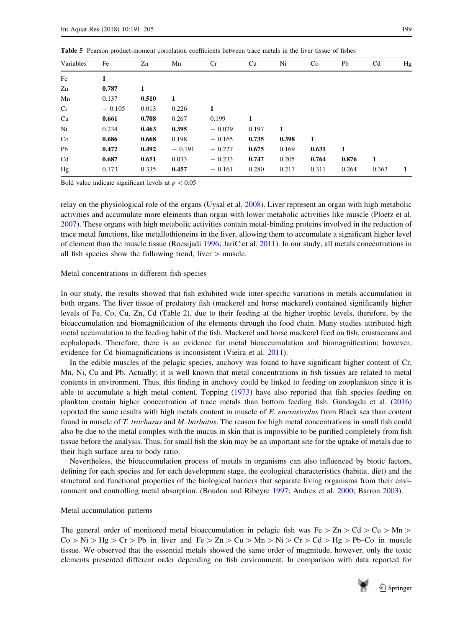|           |          |       |          | <b>THOICE</b> I can be product moment correlation coefficients occured trace means in the fiver though of hones |       |       |       |       |                |    |
|-----------|----------|-------|----------|-----------------------------------------------------------------------------------------------------------------|-------|-------|-------|-------|----------------|----|
| Variables | Fe       | Zn    | Mn       | Cr                                                                                                              | Cu    | Ni    | Co    | Pb    | C <sub>d</sub> | Hg |
| Fe        | 1        |       |          |                                                                                                                 |       |       |       |       |                |    |
| Zn        | 0.787    | 1     |          |                                                                                                                 |       |       |       |       |                |    |
| Mn        | 0.137    | 0.510 | 1        |                                                                                                                 |       |       |       |       |                |    |
| Cr        | $-0.105$ | 0.013 | 0.226    | 1                                                                                                               |       |       |       |       |                |    |
| Cu        | 0.661    | 0.708 | 0.267    | 0.199                                                                                                           | 1     |       |       |       |                |    |
| Ni        | 0.234    | 0.463 | 0.395    | $-0.029$                                                                                                        | 0.197 | 1     |       |       |                |    |
| Co        | 0.686    | 0.668 | 0.198    | $-0.165$                                                                                                        | 0.735 | 0.398 | 1     |       |                |    |
| Pb        | 0.472    | 0.492 | $-0.191$ | $-0.227$                                                                                                        | 0.675 | 0.169 | 0.631 | 1     |                |    |
| Cd        | 0.687    | 0.651 | 0.033    | $-0.233$                                                                                                        | 0.747 | 0.205 | 0.764 | 0.876 | -1             |    |
| Hg        | 0.173    | 0.335 | 0.457    | $-0.161$                                                                                                        | 0.280 | 0.217 | 0.311 | 0.264 | 0.363          | 1  |
|           |          |       |          |                                                                                                                 |       |       |       |       |                |    |

<span id="page-8-0"></span>Table 5 Pearson product-moment correlation coefficients between trace metals in the liver tissue of fishes

Bold value indicate significant levels at  $p < 0.05$ 

relay on the physiological role of the organs (Uysal et al. [2008](#page-14-0)). Liver represent an organ with high metabolic activities and accumulate more elements than organ with lower metabolic activities like muscle (Ploetz et al. [2007](#page-14-0)). These organs with high metabolic activities contain metal-binding proteins involved in the reduction of trace metal functions, like metallothioneins in the liver, allowing them to accumulate a significant higher level of element than the muscle tissue (Roesijadi [1996](#page-14-0); JariC et al. [2011](#page-13-0)). In our study, all metals concentrations in all fish species show the following trend, liver  $>$  muscle.

#### Metal concentrations in different fish species

In our study, the results showed that fish exhibited wide inter-specific variations in metals accumulation in both organs. The liver tissue of predatory fish (mackerel and horse mackerel) contained significantly higher levels of Fe, Co, Cu, Zn, Cd (Table [2\)](#page-4-0), due to their feeding at the higher trophic levels, therefore, by the bioaccumulation and biomagnification of the elements through the food chain. Many studies attributed high metal accumulation to the feeding habit of the fish. Mackerel and horse mackerel feed on fish, crustaceans and cephalopods. Therefore, there is an evidence for metal bioaccumulation and biomagnification; however, evidence for Cd biomagnifications is inconsistent (Vieira et al. [2011\)](#page-14-0).

In the edible muscles of the pelagic species, anchovy was found to have significant higher content of Cr, Mn, Ni, Cu and Pb. Actually; it is well known that metal concentrations in fish tissues are related to metal contents in environment. Thus, this finding in anchovy could be linked to feeding on zooplankton since it is able to accumulate a high metal content. Topping ([1973\)](#page-14-0) have also reported that fish species feeding on plankton contain higher concentration of trace metals than bottom feeding fish. Gundogdu et al. [\(2016](#page-13-0)) reported the same results with high metals content in muscle of E. encrasicolus from Black sea than content found in muscle of T. trachurus and M. barbatus. The reason for high metal concentrations in small fish could also be due to the metal complex with the mucus in skin that is impossible to be purified completely from fish tissue before the analysis. Thus, for small fish the skin may be an important site for the uptake of metals due to their high surface area to body ratio.

Nevertheless, the bioaccumulation process of metals in organisms can also influenced by biotic factors, defining for each species and for each development stage, the ecological characteristics (habitat. diet) and the structural and functional properties of the biological barriers that separate living organisms from their environment and controlling metal absorption. (Boudou and Ribeyre [1997](#page-12-0); Andres et al. [2000;](#page-12-0) Barron [2003](#page-12-0)).

#### Metal accumulation patterns

The general order of monitored metal bioaccumulation in pelagic fish was Fe  $> Zn > Cd > Cu > Mn >$  $Co > Ni > Hg > Cr > Pb$  in liver and  $Fe > Zn > Cu > Mn > Ni > Cr > Cd > Hg > Pb-Co$  in muscle tissue. We observed that the essential metals showed the same order of magnitude, however, only the toxic elements presented different order depending on fish environment. In comparison with data reported for

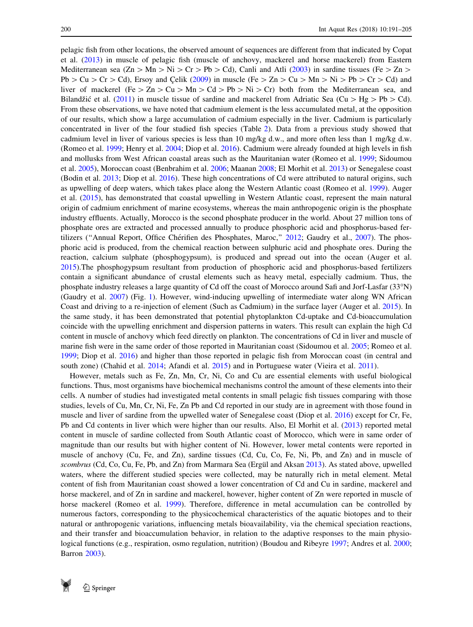pelagic fish from other locations, the observed amount of sequences are different from that indicated by Copat et al. ([2013\)](#page-13-0) in muscle of pelagic fish (muscle of anchovy, mackerel and horse mackerel) from Eastern Mediterranean sea (Zn  $>$  Mn  $>$  Ni  $>$  Cr  $>$  Pb  $>$  Cd), Canli and Atli ([2003\)](#page-12-0) in sardine tissues (Fe  $>$  Zn  $>$  $Pb > Cu > Cr > Cd$ ), Ersoy and Celik ([2009\)](#page-13-0) in muscle (Fe  $\geq Zn > Cu > Mn > Ni > Pb > Cr > Cd$ ) and liver of mackerel (Fe  $\geq$  Zn  $\geq$  Cu  $\geq$  Mn  $\geq$  Cd  $\geq$  Pb  $\geq$  Ni  $\geq$  Cr) both from the Mediterranean sea, and Bilandžić et al. [\(2011](#page-12-0)) in muscle tissue of sardine and mackerel from Adriatic Sea (Cu  $>$  Hg $>$  Pb  $>$  Cd). From these observations, we have noted that cadmium element is the less accumulated metal, at the opposition of our results, which show a large accumulation of cadmium especially in the liver. Cadmium is particularly concentrated in liver of the four studied fish species (Table [2\)](#page-4-0). Data from a previous study showed that cadmium level in liver of various species is less than 10 mg/kg d.w., and more often less than 1 mg/kg d.w. (Romeo et al. [1999](#page-14-0); Henry et al. [2004](#page-13-0); Diop et al. [2016](#page-13-0)). Cadmium were already founded at high levels in fish and mollusks from West African coastal areas such as the Mauritanian water (Romeo et al. [1999;](#page-14-0) Sidoumou et al. [2005\)](#page-14-0), Moroccan coast (Benbrahim et al. [2006](#page-12-0); Maanan [2008](#page-13-0); El Morhit et al. [2013](#page-13-0)) or Senegalese coast (Bodin et al. [2013;](#page-12-0) Diop et al. [2016](#page-13-0)). These high concentrations of Cd were attributed to natural origins, such as upwelling of deep waters, which takes place along the Western Atlantic coast (Romeo et al. [1999\)](#page-14-0). Auger et al. ([2015\)](#page-12-0), has demonstrated that coastal upwelling in Western Atlantic coast, represent the main natural origin of cadmium enrichment of marine ecosystems, whereas the main anthropogenic origin is the phosphate industry effluents. Actually, Morocco is the second phosphate producer in the world. About 27 million tons of phosphate ores are extracted and processed annually to produce phosphoric acid and phosphorus-based fer-tilizers ("Annual Report, Office Chérifien des Phosphates, Maroc," [2012;](#page-12-0) Gaudry et al., [2007](#page-13-0)). The phosphoric acid is produced, from the chemical reaction between sulphuric acid and phosphate ores. During the reaction, calcium sulphate (phosphogypsum), is produced and spread out into the ocean (Auger et al. [2015](#page-12-0)).The phosphogypsum resultant from production of phosphoric acid and phosphorus-based fertilizers contain a significant abundance of crustal elements such as heavy metal, especially cadmium. Thus, the phosphate industry releases a large quantity of Cd off the coast of Morocco around Safi and Jorf-Lasfar (33N) (Gaudry et al. [2007\)](#page-13-0) (Fig. [1](#page-2-0)). However, wind-inducing upwelling of intermediate water along WN African Coast and driving to a re-injection of element (Such as Cadmium) in the surface layer (Auger et al. [2015\)](#page-12-0). In the same study, it has been demonstrated that potential phytoplankton Cd-uptake and Cd-bioaccumulation coincide with the upwelling enrichment and dispersion patterns in waters. This result can explain the high Cd content in muscle of anchovy which feed directly on plankton. The concentrations of Cd in liver and muscle of marine fish were in the same order of those reported in Mauritanian coast (Sidoumou et al. [2005](#page-14-0); Romeo et al. [1999](#page-14-0); Diop et al. [2016](#page-13-0)) and higher than those reported in pelagic fish from Moroccan coast (in central and south zone) (Chahid et al. [2014](#page-13-0); Afandi et al. [2015](#page-12-0)) and in Portuguese water (Vieira et al. [2011](#page-14-0)).

However, metals such as Fe, Zn, Mn, Cr, Ni, Co and Cu are essential elements with useful biological functions. Thus, most organisms have biochemical mechanisms control the amount of these elements into their cells. A number of studies had investigated metal contents in small pelagic fish tissues comparing with those studies, levels of Cu, Mn, Cr, Ni, Fe, Zn Pb and Cd reported in our study are in agreement with those found in muscle and liver of sardine from the upwelled water of Senegalese coast (Diop et al. [2016](#page-13-0)) except for Cr, Fe, Pb and Cd contents in liver which were higher than our results. Also, El Morhit et al. [\(2013](#page-13-0)) reported metal content in muscle of sardine collected from South Atlantic coast of Morocco, which were in same order of magnitude than our results but with higher content of Ni. However, lower metal contents were reported in muscle of anchovy (Cu, Fe, and Zn), sardine tissues (Cd, Cu, Co, Fe, Ni, Pb, and Zn) and in muscle of scombrus (Cd, Co, Cu, Fe, Pb, and Zn) from Marmara Sea (Ergül and Aksan [2013\)](#page-13-0). As stated above, upwelled waters, where the different studied species were collected, may be naturally rich in metal element. Metal content of fish from Mauritanian coast showed a lower concentration of Cd and Cu in sardine, mackerel and horse mackerel, and of Zn in sardine and mackerel, however, higher content of Zn were reported in muscle of horse mackerel (Romeo et al. [1999](#page-14-0)). Therefore, difference in metal accumulation can be controlled by numerous factors, corresponding to the physicochemical characteristics of the aquatic biotopes and to their natural or anthropogenic variations, influencing metals bioavailability, via the chemical speciation reactions, and their transfer and bioaccumulation behavior, in relation to the adaptive responses to the main physiological functions (e.g., respiration, osmo regulation, nutrition) (Boudou and Ribeyre [1997;](#page-12-0) Andres et al. [2000;](#page-12-0) Barron [2003\)](#page-12-0).

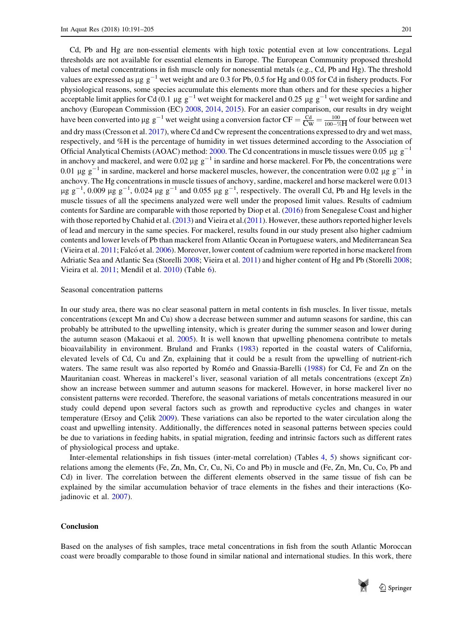Cd, Pb and Hg are non-essential elements with high toxic potential even at low concentrations. Legal thresholds are not available for essential elements in Europe. The European Community proposed threshold values of metal concentrations in fish muscle only for nonessential metals (e.g., Cd, Pb and Hg). The threshold values are expressed as  $\mu$ g g<sup>-1</sup> wet weight and are 0.3 for Pb, 0.5 for Hg and 0.05 for Cd in fishery products. For physiological reasons, some species accumulate this elements more than others and for these species a higher acceptable limit applies for Cd (0.1 µg  $g^{-1}$  wet weight for mackerel and 0.25 µg  $g^{-1}$  wet weight for sardine and anchovy (European Commission (EC) [2008](#page-13-0), [2014,](#page-13-0) [2015\)](#page-13-0). For an easier comparison, our results in dry weight have been converted into  $\mu$ g g<sup>-1</sup> wet weight using a conversion factor CF =  $\frac{Cd}{Cw} = \frac{100}{100-\%H}$  of four between wet and dry mass (Cresson et al. [2017\)](#page-13-0), where Cd and Cw represent the concentrations expressed to dry and wet mass, respectively, and %H is the percentage of humidity in wet tissues determined according to the Association of Official Analytical Chemists (AOAC) method: [2000.](#page-12-0) The Cd concentrations in muscle tissues were 0.05  $\mu$ g g<sup>-1</sup> in anchovy and mackerel, and were 0.02  $\mu$ g g<sup>-1</sup> in sardine and horse mackerel. For Pb, the concentrations were 0.01  $\mu$ g g<sup>-1</sup> in sardine, mackerel and horse mackerel muscles, however, the concentration were 0.02  $\mu$ g g<sup>-1</sup> in anchovy. The Hg concentrations in muscle tissues of anchovy, sardine, mackerel and horse mackerel were 0.013  $\mu$ g g<sup>-1</sup>, 0.009  $\mu$ g g<sup>-1</sup>, 0.024  $\mu$ g g<sup>-1</sup> and 0.055  $\mu$ g g<sup>-1</sup>, respectively. The overall Cd, Pb and Hg levels in the muscle tissues of all the specimens analyzed were well under the proposed limit values. Results of cadmium contents for Sardine are comparable with those reported by Diop et al. [\(2016](#page-13-0)) from Senegalese Coast and higher with those reported by Chahid et al. ([2013](#page-12-0)) and Vieira et al. ([2011\)](#page-14-0). However, these authors reported higher levels of lead and mercury in the same species. For mackerel, results found in our study present also higher cadmium contents and lower levels of Pb than mackerel from Atlantic Ocean in Portuguese waters, and Mediterranean Sea (Vieira et al. [2011](#page-14-0); Falcó et al. [2006\)](#page-13-0). Moreover, lower content of cadmium were reported in horse mackerel from Adriatic Sea and Atlantic Sea (Storelli [2008](#page-14-0); Vieira et al. [2011\)](#page-14-0) and higher content of Hg and Pb (Storelli [2008;](#page-14-0) Vieira et al. [2011;](#page-14-0) Mendil et al. [2010](#page-13-0)) (Table [6\)](#page-11-0).

#### Seasonal concentration patterns

In our study area, there was no clear seasonal pattern in metal contents in fish muscles. In liver tissue, metals concentrations (except Mn and Cu) show a decrease between summer and autumn seasons for sardine, this can probably be attributed to the upwelling intensity, which is greater during the summer season and lower during the autumn season (Makaoui et al. [2005](#page-13-0)). It is well known that upwelling phenomena contribute to metals bioavailability in environment. Bruland and Franks [\(1983](#page-12-0)) reported in the coastal waters of California, elevated levels of Cd, Cu and Zn, explaining that it could be a result from the upwelling of nutrient-rich waters. The same result was also reported by Roméo and Gnassia-Barelli ([1988\)](#page-14-0) for Cd, Fe and Zn on the Mauritanian coast. Whereas in mackerel's liver, seasonal variation of all metals concentrations (except Zn) show an increase between summer and autumn seasons for mackerel. However, in horse mackerel liver no consistent patterns were recorded. Therefore, the seasonal variations of metals concentrations measured in our study could depend upon several factors such as growth and reproductive cycles and changes in water temperature (Ersoy and Celik [2009\)](#page-13-0). These variations can also be reported to the water circulation along the coast and upwelling intensity. Additionally, the differences noted in seasonal patterns between species could be due to variations in feeding habits, in spatial migration, feeding and intrinsic factors such as different rates of physiological process and uptake.

Inter-elemental relationships in fish tissues (inter-metal correlation) (Tables [4](#page-7-0), [5\)](#page-8-0) shows significant correlations among the elements (Fe, Zn, Mn, Cr, Cu, Ni, Co and Pb) in muscle and (Fe, Zn, Mn, Cu, Co, Pb and Cd) in liver. The correlation between the different elements observed in the same tissue of fish can be explained by the similar accumulation behavior of trace elements in the fishes and their interactions (Kojadinovic et al. [2007\)](#page-13-0).

## **Conclusion**

Based on the analyses of fish samples, trace metal concentrations in fish from the south Atlantic Moroccan coast were broadly comparable to those found in similar national and international studies. In this work, there

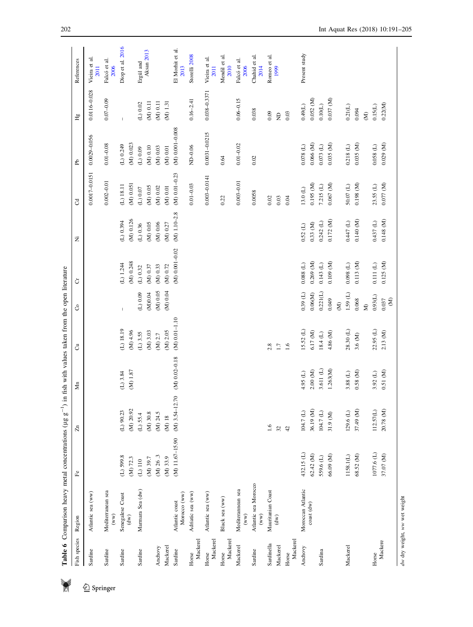<span id="page-11-0"></span>

|                     | Table 6 Comparison heavy metal concentrations (µg   |                         | $\int_{-\infty}^{\infty}$                                       | in fish with values taken from the open literature |                                 |                               |                            |                                 |                                     |                              |                               |                          |
|---------------------|-----------------------------------------------------|-------------------------|-----------------------------------------------------------------|----------------------------------------------------|---------------------------------|-------------------------------|----------------------------|---------------------------------|-------------------------------------|------------------------------|-------------------------------|--------------------------|
| Fish species        | Region                                              | ۴e                      | A                                                               | $\mathbf{M}$ n                                     | ්                               | රි                            | ö                          | Ż                               | ප                                   | Рb                           | Нg                            | References               |
| Sardine             | Atlantic sea (ww)                                   |                         |                                                                 |                                                    |                                 |                               |                            |                                 | 0.0017-0.0151                       | 0.0029-0.056                 | 0.0116-0.028                  | Vieira et al.<br>2011    |
| Sardine             | Mediterranean sea<br>$\left( {\bf w}{\bf w}\right)$ |                         |                                                                 |                                                    |                                 |                               |                            |                                 | $0.002 - 0.01$                      | $0.01 - 0.08$                | $0.07 - 0.09$                 | Falcó et al.<br>2006     |
| Sardine             | Senegalese Coast<br>(dw)                            | $(L)$ 599.8<br>(M) 72.3 | (M) 20.92<br>$(L)$ 90.23                                        | (M) 1.87<br>$(L)$ 3.84                             | $(L)$ 18.19<br>$($ M) 4.96 $\,$ |                               | (M) 0.248<br>(L) 1.244     | (M) 0.126<br>(L) 0.394          | (M) 0.051<br>$(L)$ 18.11            | (M) 0.023<br>(L) 0.249       | $\overline{1}$                | Diop et al. 2016         |
| Sardine             | Marmara Sea (dw)                                    | (M) 39.7<br>$(L)$ 110   | $(M)$ 30.8 $\,$<br>$(L)$ 55.4                                   |                                                    | $(M)$ 3.03<br>$(L)$ 3.55        | $(1) 0.09$<br>(M)0.04         | (M) 0.37<br>$(L)$ 0.32     | $(M)$ $0.05\,$<br>$(L)$ 0.36    | $(M)$ $0.05$<br>$(\mathbb{L})$ 0.07 | $(M)$ 0.10<br>$(1) 0.09$     | $(M)$ 0.11<br>$(L)$ 0.02 $\,$ | Aksan 2013<br>Ergül and  |
| Mackerel<br>Anchovy |                                                     | (M) 26.3<br>(M) 33.9    | (M) 24.5<br>$(M)$ 18                                            |                                                    | $(M)$ 2.05<br>$(M)$ 2.7         | $(M)$ 0.05<br>$(M)$ 0.04 $\,$ | $(M)$ 0.33<br>(M) 0.72     | $(M)$ $0.06$<br>$(M)$ 0.27 $\,$ | $(M)$ 0.02<br>$(M)$ 0.01            | $(M)$ 0.03<br>$(M)$ $0.01\,$ | (M) 1.31<br>$(M)$ 0.11        |                          |
| Sardine             | Morocco (ww)<br>Atlantic coast                      | $(M)$ 11.67-15.90       | $\mathcal{L}$<br>$(M)$ 3.54-12.                                 | $(M) 0.02 - 0.18$                                  | $(M) 0.01 - 1.10$               |                               | $(M) 0.001 - 0.02$         | $(M) 1.10 - 2.8$                | $(M) 0.01 - 0.23$                   | $(M) 0.001 - 0.008$          |                               | El Morhit et al.<br>2013 |
| Mackerel<br>Horse   | Adriatic sea (ww)                                   |                         |                                                                 |                                                    |                                 |                               |                            |                                 | $0.01 - 0.03$                       | ND-0.06                      | $0.16 - 2.41$                 | Storelli 2008            |
| Mackerel<br>Horse   | Atlantic sea (ww)                                   |                         |                                                                 |                                                    |                                 |                               |                            |                                 | $0.003 - 0.0141$                    | $0.0031 - 0.0215$            | 0.038-0.3371                  | Vieira et al.<br>2011    |
| Mackerel<br>Horse   | Black sea (ww)                                      |                         |                                                                 |                                                    |                                 |                               |                            |                                 | 0.22                                | 0.64                         |                               | Mendil et al.<br>2010    |
| Mackerel            | Mediterannean sea<br>(ww)                           |                         |                                                                 |                                                    |                                 |                               |                            |                                 | $0.003 - 0.01$                      | $0.01 - 0.02$                | $0.06 - 0.15$                 | Falcó et al.<br>2006     |
| Sardine             | Atlantic sea Morocco<br>(ww)                        |                         |                                                                 |                                                    |                                 |                               |                            |                                 | 0.0058                              | 0.02                         | 0.038                         | Chahid et al.<br>2014    |
| Sardinella          | Mauritanian Coast<br>(dw)                           |                         | 1.6                                                             |                                                    | 2.8                             |                               |                            |                                 | 0.02                                |                              | 0.09                          | Romeo et al.<br>1999     |
| Mackerel<br>Horse   |                                                     |                         | $\overline{c}$<br>$\mathfrak{L}% _{0}^{\alpha}(\mathbb{R}^{2})$ |                                                    | 1.6<br>$1.7\,$                  |                               |                            |                                 | 0.03<br>0.04                        |                              | 0.03<br>$\Xi$                 |                          |
| Mackerel            |                                                     |                         |                                                                 |                                                    |                                 |                               |                            |                                 |                                     |                              |                               |                          |
| Anchovy             | Moroccan Atlantic<br>coast (dw)                     | 432.15 (L)<br>62.42(M)  | 36.19 (M)<br>104.7 (L)                                          | $2.00~(M)$<br>4.95 (L)                             | $15.52$ (L)<br>6.17 (M)         | $0.39$ (L)<br>0.06(M)         | $0.269$ (M)<br>$0.088$ (L) | 0.33(M)<br>$0.52$ (L)           | 0.195(M)<br>$13.0~(\mathrm{L})$     | $0.066$ (M)<br>$0.078$ (L)   | 0.052 (M)<br>$(196.0)$        | Present study            |
| Sardina             |                                                     | 66.09 (M)<br>559.6 (L)  | $104.7~(\mathrm{L})$<br>31.9 (M)                                | 3.611 (L)<br>1.263(M)                              | 4.86 (M)<br>$18.4~(\mathrm{L})$ | 0.221(L)<br>0.049             | 0.109 (M)<br>$0.143$ (L)   | 0.172 (M)<br>$0.242$ (L)        | 0.067(M)<br>7.215 (L)               | 0.035(M)<br>$0.073$ (L)      | 0.037 (M)<br>$0.10(L)$        |                          |
|                     |                                                     |                         |                                                                 |                                                    |                                 | $\widehat{\mathbf{z}}$        |                            |                                 |                                     |                              |                               |                          |
| Mackerel            |                                                     | 1158.1(L)               | $129.6$ (L)                                                     | 3.88 (L)                                           | $28.30$ (L)                     | $1.59$ (L)                    | $(1)860.0$                 | $0.447$ (L)                     | $50.07~(\rm L)$                     | 0.218(L)                     | $0.21(L)$                     |                          |
|                     |                                                     | 68.52 (M)               | 37.49 (M)                                                       | 0.58(M)                                            | 3.6(M)                          | 0.068<br>$\tilde{M}$          | 0.113 (M)                  | 0.140(M)                        | 0.198(M)                            | 0.035(M)                     | 0.094<br>$\hat{z}$            |                          |
| Horse               |                                                     | 1077.6 (L)              | 112.57(L)                                                       | $3.92$ (L)                                         | $22.95$ (L)                     | 0.93(L)                       | $0.111$ (L)                | 0.437(L)                        | $23.55$ (L)                         | $0.058$ (L)                  | $0.15(L)$                     |                          |
| Mackere             |                                                     | 37.07 (M)               | 20.78 (M)                                                       | 0.51(M)                                            | 2.13 (M)                        | $\rm \mathcal{S}$<br>0.037    | 0.125(M)                   | 0.148(M)                        | 0.077(M)                            | (0.029)                      | 0.22(M)                       |                          |

 $2$  Springer

 $\blacklozenge$ 

dw dry weight, ww wet weight

dw dry weight, ww wet weight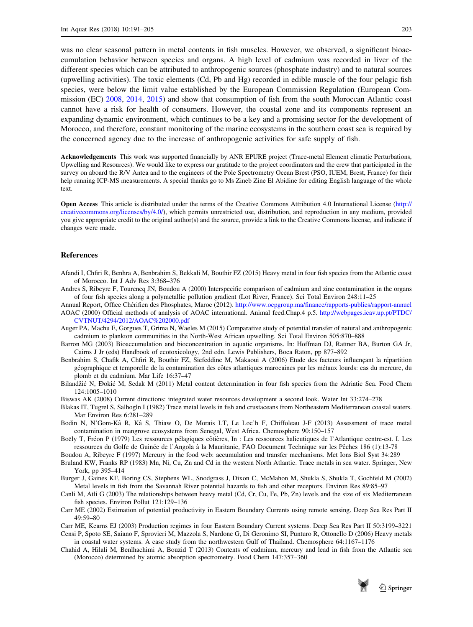<span id="page-12-0"></span>was no clear seasonal pattern in metal contents in fish muscles. However, we observed, a significant bioaccumulation behavior between species and organs. A high level of cadmium was recorded in liver of the different species which can be attributed to anthropogenic sources (phosphate industry) and to natural sources (upwelling activities). The toxic elements (Cd, Pb and Hg) recorded in edible muscle of the four pelagic fish species, were below the limit value established by the European Commission Regulation (European Commission (EC) [2008,](#page-13-0) [2014](#page-13-0), [2015\)](#page-13-0) and show that consumption of fish from the south Moroccan Atlantic coast cannot have a risk for health of consumers. However, the coastal zone and its components represent an expanding dynamic environment, which continues to be a key and a promising sector for the development of Morocco, and therefore, constant monitoring of the marine ecosystems in the southern coast sea is required by the concerned agency due to the increase of anthropogenic activities for safe supply of fish.

Acknowledgements This work was supported financially by ANR EPURE project (Trace-metal Element climatic Perturbations, Upwelling and Resources). We would like to express our gratitude to the project coordinators and the crew that participated in the survey on aboard the R/V Antea and to the engineers of the Pole Spectrometry Ocean Brest (PSO, IUEM, Brest, France) for their help running ICP-MS measurements. A special thanks go to Ms Zineb Zine El Abidine for editing English language of the whole text.

Open Access This article is distributed under the terms of the Creative Commons Attribution 4.0 International License [\(http://](http://creativecommons.org/licenses/by/4.0/) [creativecommons.org/licenses/by/4.0/](http://creativecommons.org/licenses/by/4.0/)), which permits unrestricted use, distribution, and reproduction in any medium, provided you give appropriate credit to the original author(s) and the source, provide a link to the Creative Commons license, and indicate if changes were made.

## References

- Afandi I, Chfiri R, Benhra A, Benbrahim S, Bekkali M, Bouthir FZ (2015) Heavy metal in four fish species from the Atlantic coast of Morocco. Int J Adv Res 3:368–376
- Andres S, Ribeyre F, Tourencq JN, Boudou A (2000) Interspecific comparison of cadmium and zinc contamination in the organs of four fish species along a polymetallic pollution gradient (Lot River, France). Sci Total Environ 248:11–25
- Annual Report, Office Chérifien des Phosphates, Maroc (2012). <http://www.ocpgroup.ma/finance/rapports-publies/rapport-annuel>
- AOAC (2000) Official methods of analysis of AOAC international. Animal feed.Chap.4 p.5. [http://webpages.icav.up.pt/PTDC/](http://webpages.icav.up.pt/PTDC/CVTNUT/4294/2012/AOAC%202000.pdf) [CVTNUT/4294/2012/AOAC%202000.pdf](http://webpages.icav.up.pt/PTDC/CVTNUT/4294/2012/AOAC%202000.pdf)
- Auger PA, Machu E, Gorgues T, Grima N, Waeles M (2015) Comparative study of potential transfer of natural and anthropogenic cadmium to plankton communities in the North-West African upwelling. Sci Total Environ 505:870–888
- Barron MG (2003) Bioaccumulation and bioconcentration in aquatic organisms. In: Hoffman DJ, Rattner BA, Burton GA Jr, Cairns J Jr (eds) Handbook of ecotoxicology, 2nd edn. Lewis Publishers, Boca Raton, pp 877–892
- Benbrahim S, Chafik A, Chfiri R, Bouthir FZ, Siefeddine M, Makaoui A (2006) Etude des facteurs influençant la répartition géographique et temporelle de la contamination des côtes atlantiques marocaines par les métaux lourds: cas du mercure, du plomb et du cadmium. Mar Life 16:37–47
- Bilandžić N, Đokić M, Sedak M (2011) Metal content determination in four fish species from the Adriatic Sea. Food Chem 124:1005–1010
- Biswas AK (2008) Current directions: integrated water resources development a second look. Water Int 33:274–278
- Blakas IT, Tugrel S, Salhogln I (1982) Trace metal levels in fish and crustaceans from Northeastern Mediterranean coastal waters. Mar Environ Res 6:281–289
- Bodin N, N'Gom-Kâ R, Kâ S, Thiaw O, De Morais LT, Le Loc'h F, Chiffoleau J-F (2013) Assessment of trace metal contamination in mangrove ecosystems from Senegal, West Africa. Chemosphere 90:150–157
- Boëly T, Fréon P (1979) Les ressources pélagiques côtières, In : Les ressources halieutiques de l'Atlantique centre-est. I. Les ressources du Golfe de Guinée de l'Angola à la Mauritanie, FAO Document Technique sur les Pêches 186 (1):13-78
- Boudou A, Ribeyre F (1997) Mercury in the food web: accumulation and transfer mechanisms. Met Ions Biol Syst 34:289
- Bruland KW, Franks RP (1983) Mn, Ni, Cu, Zn and Cd in the western North Atlantic. Trace metals in sea water. Springer, New York, pp 395–414
- Burger J, Gaines KF, Boring CS, Stephens WL, Snodgrass J, Dixon C, McMahon M, Shukla S, Shukla T, Gochfeld M (2002) Metal levels in fish from the Savannah River potential hazards to fish and other receptors. Environ Res 89:85–97
- Canli M, Atli G (2003) The relationships between heavy metal (Cd, Cr, Cu, Fe, Pb, Zn) levels and the size of six Mediterranean fish species. Environ Pollut 121:129–136
- Carr ME (2002) Estimation of potential productivity in Eastern Boundary Currents using remote sensing. Deep Sea Res Part II 49:59–80
- Carr ME, Kearns EJ (2003) Production regimes in four Eastern Boundary Current systems. Deep Sea Res Part II 50:3199–3221 Censi P, Spoto SE, Saiano F, Sprovieri M, Mazzola S, Nardone G, Di Geronimo SI, Punturo R, Ottonello D (2006) Heavy metals in coastal water systems. A case study from the northwestern Gulf of Thailand. Chemosphere 64:1167–1176
- Chahid A, Hilali M, Benlhachimi A, Bouzid T (2013) Contents of cadmium, mercury and lead in fish from the Atlantic sea (Morocco) determined by atomic absorption spectrometry. Food Chem 147:357–360

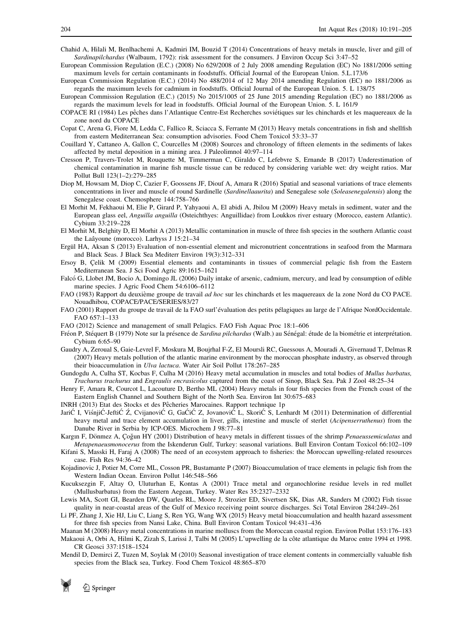- <span id="page-13-0"></span>Chahid A, Hilali M, Benlhachemi A, Kadmiri IM, Bouzid T (2014) Concentrations of heavy metals in muscle, liver and gill of Sardinapilchardus (Walbaum, 1792): risk assessment for the consumers. J Environ Occup Sci 3:47–52
- European Commission Regulation (E.C.) (2008) No 629/2008 of 2 July 2008 amending Regulation (EC) No 1881/2006 setting maximum levels for certain contaminants in foodstuffs. Official Journal of the European Union. 5.L.173/6
- European Commission Regulation (E.C.) (2014) No 488/2014 of 12 May 2014 amending Regulation (EC) no 1881/2006 as regards the maximum levels for cadmium in foodstuffs. Official Journal of the European Union. 5. L 138/75
- European Commission Regulation (E.C.) (2015) No 2015/1005 of 25 June 2015 amending Regulation (EC) no 1881/2006 as regards the maximum levels for lead in foodstuffs. Official Journal of the European Union. 5. L 161/9
- COPACE RI (1984) Les pêches dans l'Atlantique Centre-Est Recherches soviétiques sur les chinchards et les maquereaux de la zone nord du COPACE
- Copat C, Arena G, Fiore M, Ledda C, Fallico R, Sciacca S, Ferrante M (2013) Heavy metals concentrations in fish and shellfish from eastern Mediterranean Sea: consumption advisories. Food Chem Toxicol 53:33–37
- Couillard Y, Cattaneo A, Gallon C, Courcelles M (2008) Sources and chronology of fifteen elements in the sediments of lakes affected by metal deposition in a mining area. J Paleolimnol 40:97–114
- Cresson P, Travers-Trolet M, Rouquette M, Timmerman C, Giraldo C, Lefebvre S, Ernande B (2017) Underestimation of chemical contamination in marine fish muscle tissue can be reduced by considering variable wet: dry weight ratios. Mar Pollut Bull 123(1–2):279–285
- Diop M, Howsam M, Diop C, Cazier F, Goossens JF, Diouf A, Amara R (2016) Spatial and seasonal variations of trace elements concentrations in liver and muscle of round Sardinelle (Sardinellaaurita) and Senegalese sole (Soleasenegalensis) along the Senegalese coast. Chemosphere 144:758–766
- El Morhit M, Fekhaoui M, Elie P, Girard P, Yahyaoui A, El abidi A, Jbilou M (2009) Heavy metals in sediment, water and the European glass eel, Anguilla anguilla (Osteichthyes: Anguillidae) from Loukkos river estuary (Morocco, eastern Atlantic). Cybium 33:219–228
- El Morhit M, Belghity D, El Morhit A (2013) Metallic contamination in muscle of three fish species in the southern Atlantic coast the Laâyoune (morocco). Larhyss J 15:21–34
- Ergül HA, Aksan S (2013) Evaluation of non-essential element and micronutrient concentrations in seafood from the Marmara and Black Seas. J Black Sea Mediterr Environ 19(3):312–331
- Ersoy B, Çelik M (2009) Essential elements and contaminants in tissues of commercial pelagic fish from the Eastern Mediterranean Sea. J Sci Food Agric 89:1615–1621
- Falcó G, Llobet JM, Bocio A, Domingo JL (2006) Daily intake of arsenic, cadmium, mercury, and lead by consumption of edible marine species. J Agric Food Chem 54:6106–6112
- FAO (1983) Rapport du deuxième groupe de travail *ad hoc* sur les chinchards et les maquereaux de la zone Nord du CO PACE. Nouadhibou, COPACE/PACE/SERIES/83/27
- FAO (2001) Rapport du groupe de travail de la FAO surl'évaluation des petits pélagiques au large de l'Afrique NordOccidentale. FAO 657:1–133
- FAO (2012) Science and management of small Pelagics. FAO Fish Aquac Proc 18:1–606
- Fréon P, Stéquert B (1979) Note sur la présence de Sardina pilchardus (Walb.) au Sénégal: étude de la biométrie et interprétation. Cybium 6:65–90
- Gaudry A, Zeroual S, Gaie-Levrel F, Moskura M, Boujrhal F-Z, El Moursli RC, Guessous A, Mouradi A, Givernaud T, Delmas R (2007) Heavy metals pollution of the atlantic marine environment by the moroccan phosphate industry, as observed through their bioaccumulation in Ulva lactuca. Water Air Soil Pollut 178:267–285
- Gundogdu A, Culha ST, Kocbas F, Culha M (2016) Heavy metal accumulation in muscles and total bodies of Mullus barbatus, Trachurus trachurus and Engraulis encrasicolus captured from the coast of Sinop, Black Sea. Pak J Zool 48:25–34
- Henry F, Amara R, Courcot L, Lacouture D, Bertho ML (2004) Heavy metals in four fish species from the French coast of the Eastern English Channel and Southern Bight of the North Sea. Environ Int 30:675–683
- INRH (2013) Etat des Stocks et des Pêcheries Marocaines. Rapport technique 1p
- JariC<sup>T</sup> I, VisnjiC<sup>-</sup>JeftiC<sup> $\dot{Z}$ </sup>, CvijanoviC<sup>T</sup> G, GaCiC<sup>T</sup> Z, JovanoviC<sub>L</sub>, SkoriC<sub>S</sub>, Lenhardt M (2011) Determination of differential heavy metal and trace element accumulation in liver, gills, intestine and muscle of sterlet (Acipenserruthenus) from the Danube River in Serbia by ICP-OES. Microchem J 98:77–81
- Kargın F, Dönmez A, Çoğun HY (2001) Distribution of heavy metals in different tissues of the shrimp Penaeussemiculatus and Metapenaeusmonocerus from the Iskenderun Gulf, Turkey: seasonal variations. Bull Environ Contam Toxicol 66:102–109
- Kifani S, Masski H, Faraj A (2008) The need of an ecosystem approach to fisheries: the Moroccan upwelling-related resources case. Fish Res 94:36–42
- Kojadinovic J, Potier M, Corre ML, Cosson PR, Bustamante P (2007) Bioaccumulation of trace elements in pelagic fish from the Western Indian Ocean. Environ Pollut 146:548–566
- Kucuksezgin F, Altay O, Uluturhan E, Kontas A (2001) Trace metal and organochlorine residue levels in red mullet (Mullusbarbatus) from the Eastern Aegean, Turkey. Water Res 35:2327–2332
- Lewis MA, Scott GI, Bearden DW, Quarles RL, Moore J, Strozier ED, Sivertsen SK, Dias AR, Sanders M (2002) Fish tissue quality in near-coastal areas of the Gulf of Mexico receiving point source discharges. Sci Total Environ 284:249–261
- Li PF, Zhang J, Xie HJ, Liu C, Liang S, Ren YG, Wang WX (2015) Heavy metal bioaccumulation and health hazard assessment for three fish species from Nansi Lake, China. Bull Environ Contam Toxicol 94:431–436
- Maanan M (2008) Heavy metal concentrations in marine molluscs from the Moroccan coastal region. Environ Pollut 153:176–183 Makaoui A, Orbi A, Hilmi K, Zizah S, Larissi J, Talbi M (2005) L'upwelling de la côte atlantique du Maroc entre 1994 et 1998. CR Geosci 337:1518–1524
- Mendil D, Demirci Z, Tuzen M, Soylak M (2010) Seasonal investigation of trace element contents in commercially valuable fish species from the Black sea, Turkey. Food Chem Toxicol 48:865–870